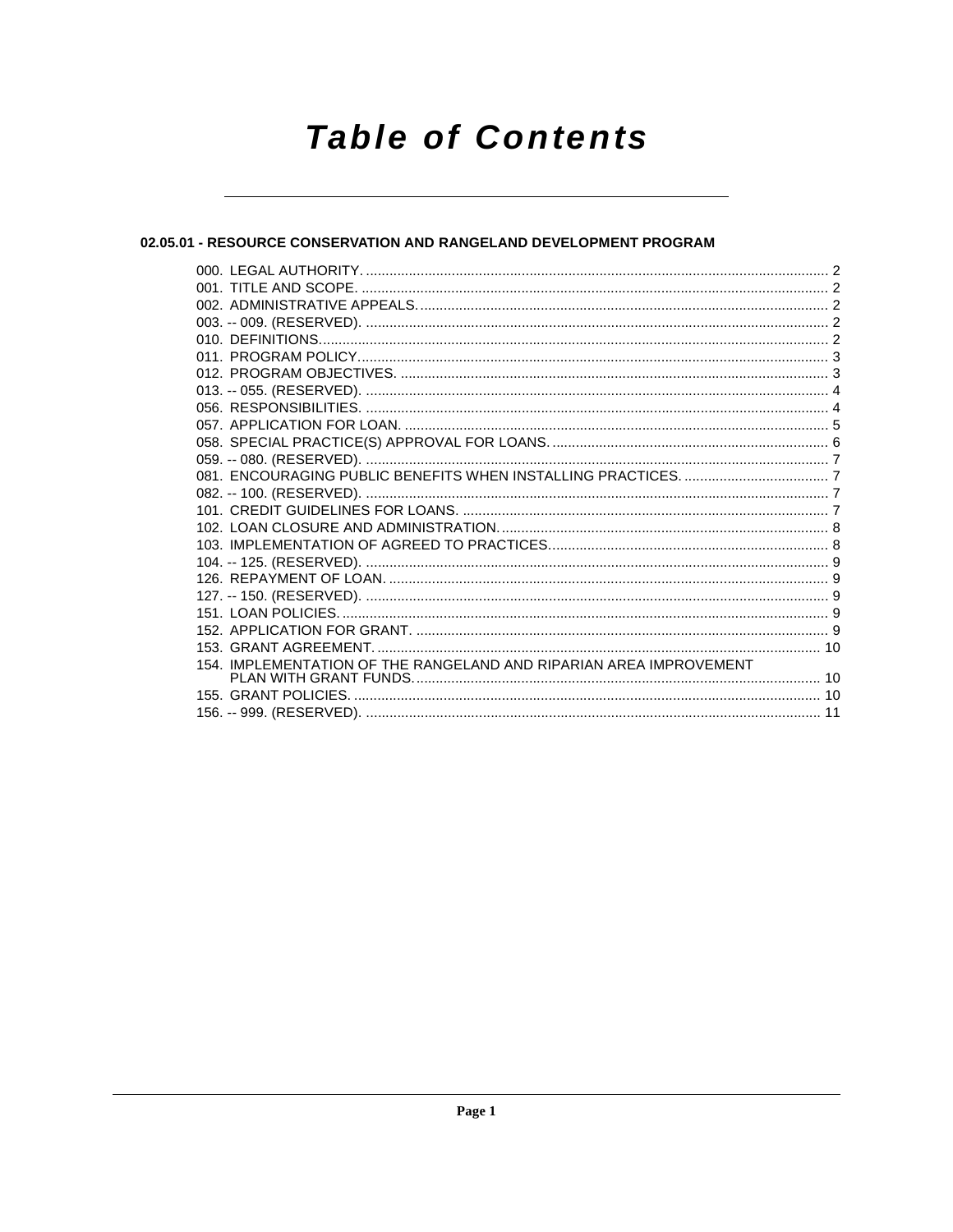# **Table of Contents**

### 02.05.01 - RESOURCE CONSERVATION AND RANGELAND DEVELOPMENT PROGRAM

| 154. IMPLEMENTATION OF THE RANGELAND AND RIPARIAN AREA IMPROVEMENT |  |
|--------------------------------------------------------------------|--|
|                                                                    |  |
|                                                                    |  |
|                                                                    |  |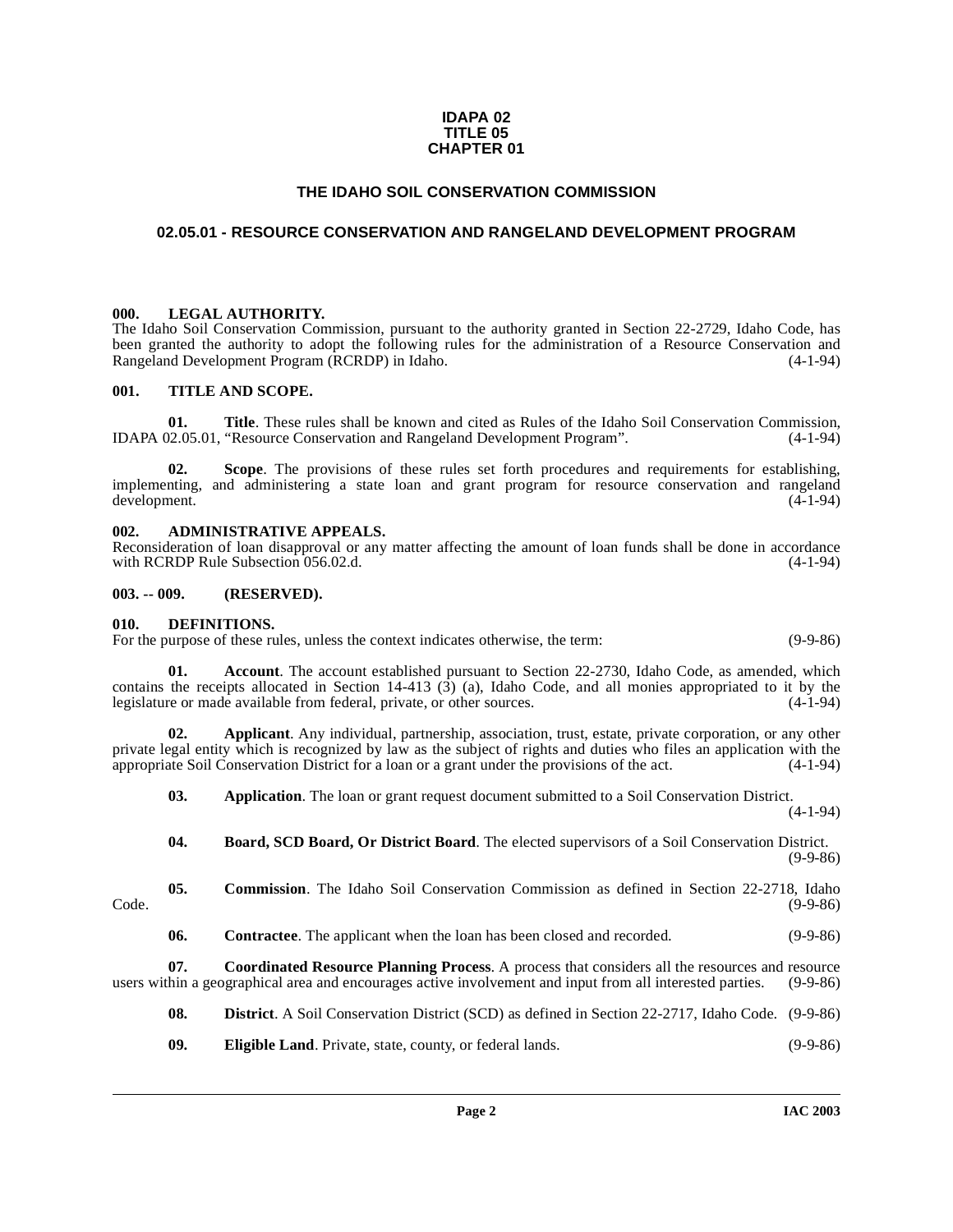#### **IDAPA 02 TITLE 05 CHAPTER 01**

#### **THE IDAHO SOIL CONSERVATION COMMISSION**

#### <span id="page-1-0"></span>**02.05.01 - RESOURCE CONSERVATION AND RANGELAND DEVELOPMENT PROGRAM**

#### <span id="page-1-1"></span>**000. LEGAL AUTHORITY.**

The Idaho Soil Conservation Commission, pursuant to the authority granted in Section 22-2729, Idaho Code, has been granted the authority to adopt the following rules for the administration of a Resource Conservation and Rangeland Development Program (RCRDP) in Idaho. (4-1-94)

#### <span id="page-1-2"></span>**001. TITLE AND SCOPE.**

**01. Title**. These rules shall be known and cited as Rules of the Idaho Soil Conservation Commission,  $02.05.01$ . "Resource Conservation and Rangeland Development Program". (4-1-94) IDAPA 02.05.01, "Resource Conservation and Rangeland Development Program".

**02. Scope**. The provisions of these rules set forth procedures and requirements for establishing, implementing, and administering a state loan and grant program for resource conservation and rangeland development. (4-1-94)

#### <span id="page-1-3"></span>**002. ADMINISTRATIVE APPEALS.**

Reconsideration of loan disapproval or any matter affecting the amount of loan funds shall be done in accordance with RCRDP Rule Subsection 056.02.d. with RCRDP Rule Subsection  $056.02$ .d.

#### <span id="page-1-4"></span>**003. -- 009. (RESERVED).**

#### <span id="page-1-12"></span><span id="page-1-5"></span>**010. DEFINITIONS.**

For the purpose of these rules, unless the context indicates otherwise, the term: (9-9-86)

<span id="page-1-6"></span>**01. Account**. The account established pursuant to Section 22-2730, Idaho Code, as amended, which contains the receipts allocated in Section 14-413 (3) (a), Idaho Code, and all monies appropriated to it by the legislature or made available from federal, private, or other sources.  $(4-1-94)$ legislature or made available from federal, private, or other sources.

**02. Applicant**. Any individual, partnership, association, trust, estate, private corporation, or any other private legal entity which is recognized by law as the subject of rights and duties who files an application with the appropriate Soil Conservation District for a loan or a grant under the provisions of the act. (4-1-94) appropriate Soil Conservation District for a loan or a grant under the provisions of the act.

<span id="page-1-8"></span><span id="page-1-7"></span>**03.** Application. The loan or grant request document submitted to a Soil Conservation District. (4-1-94)

<span id="page-1-9"></span>**04. Board, SCD Board, Or District Board**. The elected supervisors of a Soil Conservation District.  $(9-9-86)$ 

Code. (9-9-86)

<span id="page-1-11"></span><span id="page-1-10"></span>**06. Contractee**. The applicant when the loan has been closed and recorded. (9-9-86)

**05. Commission**. The Idaho Soil Conservation Commission as defined in Section 22-2718, Idaho (9-9-86)

**07.** Coordinated Resource Planning Process. A process that considers all the resources and resource thin a geographical area and encourages active involvement and input from all interested parties. (9-9-86) users within a geographical area and encourages active involvement and input from all interested parties.

<span id="page-1-13"></span>**08. District**. A Soil Conservation District (SCD) as defined in Section 22-2717, Idaho Code. (9-9-86)

<span id="page-1-14"></span>**09. Eligible Land**. Private, state, county, or federal lands. (9-9-86)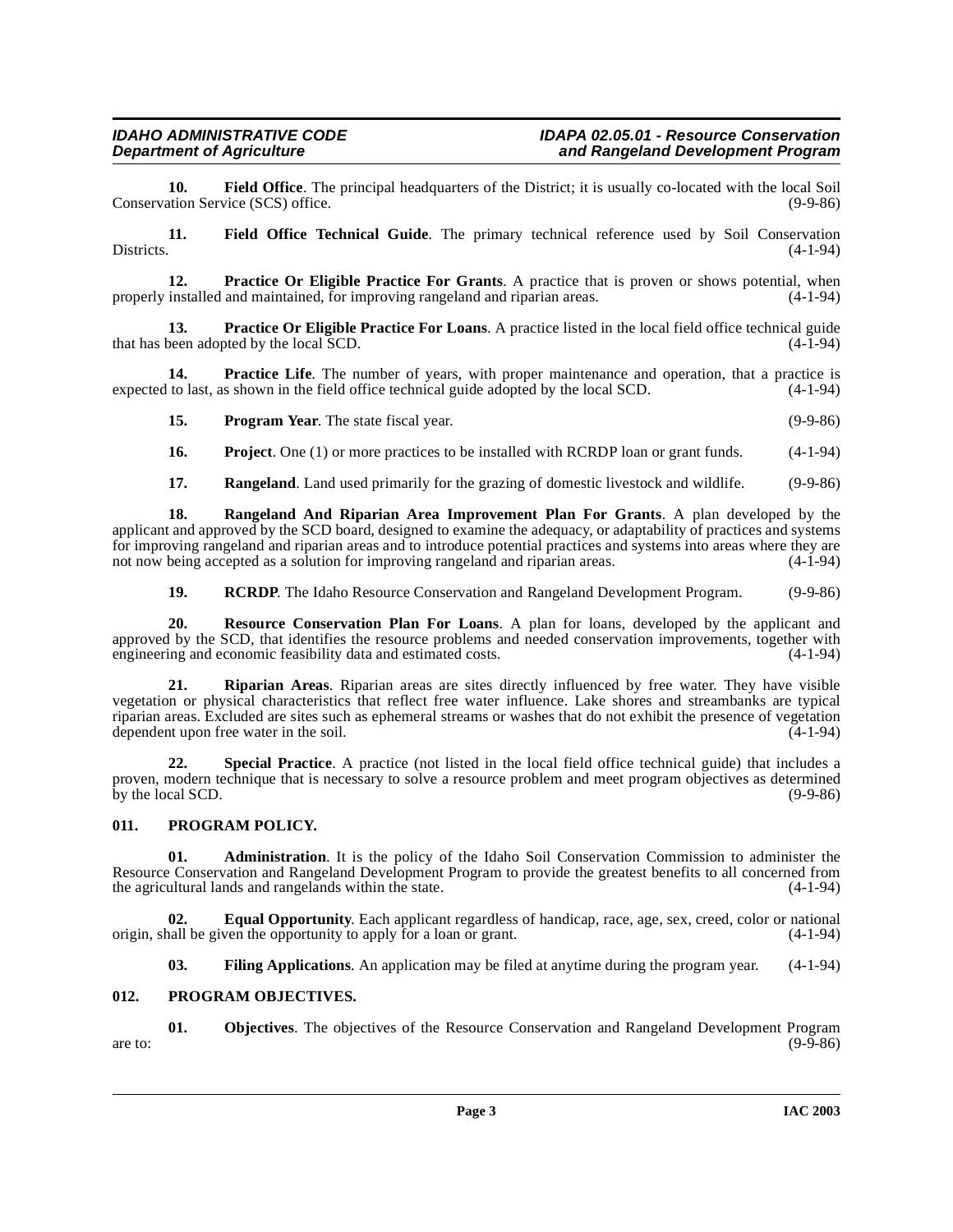**10.** Field Office. The principal headquarters of the District; it is usually co-located with the local Soil ation Service (SCS) office. Conservation Service (SCS) office.

<span id="page-2-4"></span>**11. 11.** Field Office Technical Guide. The primary technical reference used by Soil Conservation (4-1-94) Districts. (4-1-94)

<span id="page-2-7"></span>**12. Practice Or Eligible Practice For Grants**. A practice that is proven or shows potential, when installed and maintained, for improving rangeland and riparian areas. (4-1-94) properly installed and maintained, for improving rangeland and riparian areas.

<span id="page-2-8"></span>**13. Practice Or Eligible Practice For Loans**. A practice listed in the local field office technical guide that has been adopted by the local SCD.  $(4-1-94)$ 

**14. Practice Life**. The number of years, with proper maintenance and operation, that a practice is expected to last, as shown in the field office technical guide adopted by the local SCD. (4-1-94)

<span id="page-2-6"></span>**15. Program Year**. The state fiscal year. (9-9-86)

<span id="page-2-11"></span>**16. Project**. One (1) or more practices to be installed with RCRDP loan or grant funds. (4-1-94)

<span id="page-2-14"></span><span id="page-2-13"></span>**17. Rangeland**. Land used primarily for the grazing of domestic livestock and wildlife. (9-9-86)

**18. Rangeland And Riparian Area Improvement Plan For Grants**. A plan developed by the applicant and approved by the SCD board, designed to examine the adequacy, or adaptability of practices and systems for improving rangeland and riparian areas and to introduce potential practices and systems into areas where they are not now being accepted as a solution for improving rangeland and riparian areas. (4-1-94)

<span id="page-2-16"></span><span id="page-2-15"></span><span id="page-2-12"></span>**19. RCRDP.** The Idaho Resource Conservation and Rangeland Development Program. (9-9-86)

**20. Resource Conservation Plan For Loans**. A plan for loans, developed by the applicant and approved by the SCD, that identifies the resource problems and needed conservation improvements, together with engineering and economic feasibility data and estimated costs. (4-1-94) engineering and economic feasibility data and estimated costs.

**21. Riparian Areas**. Riparian areas are sites directly influenced by free water. They have visible vegetation or physical characteristics that reflect free water influence. Lake shores and streambanks are typical riparian areas. Excluded are sites such as ephemeral streams or washes that do not exhibit the presence of vegetation dependent upon free water in the soil. (4-1-94)

<span id="page-2-17"></span>**22. Special Practice**. A practice (not listed in the local field office technical guide) that includes a proven, modern technique that is necessary to solve a resource problem and meet program objectives as determined<br>by the local SCD. (9-9-86) by the local SCD.

#### <span id="page-2-10"></span><span id="page-2-0"></span>**011. PROGRAM POLICY.**

<span id="page-2-2"></span>**01. Administration**. It is the policy of the Idaho Soil Conservation Commission to administer the Resource Conservation and Rangeland Development Program to provide the greatest benefits to all concerned from the agricultural lands and rangelands within the state. (4-1-94) the agricultural lands and rangelands within the state.

**02. Equal Opportunity**. Each applicant regardless of handicap, race, age, sex, creed, color or national origin, shall be given the opportunity to apply for a loan or grant. (4-1-94)

<span id="page-2-9"></span><span id="page-2-5"></span><span id="page-2-3"></span>**03. Filing Applications**. An application may be filed at anytime during the program year. (4-1-94)

#### <span id="page-2-1"></span>**012. PROGRAM OBJECTIVES.**

**01. Objectives**. The objectives of the Resource Conservation and Rangeland Development Program (9-9-86)  $(9-9-86)$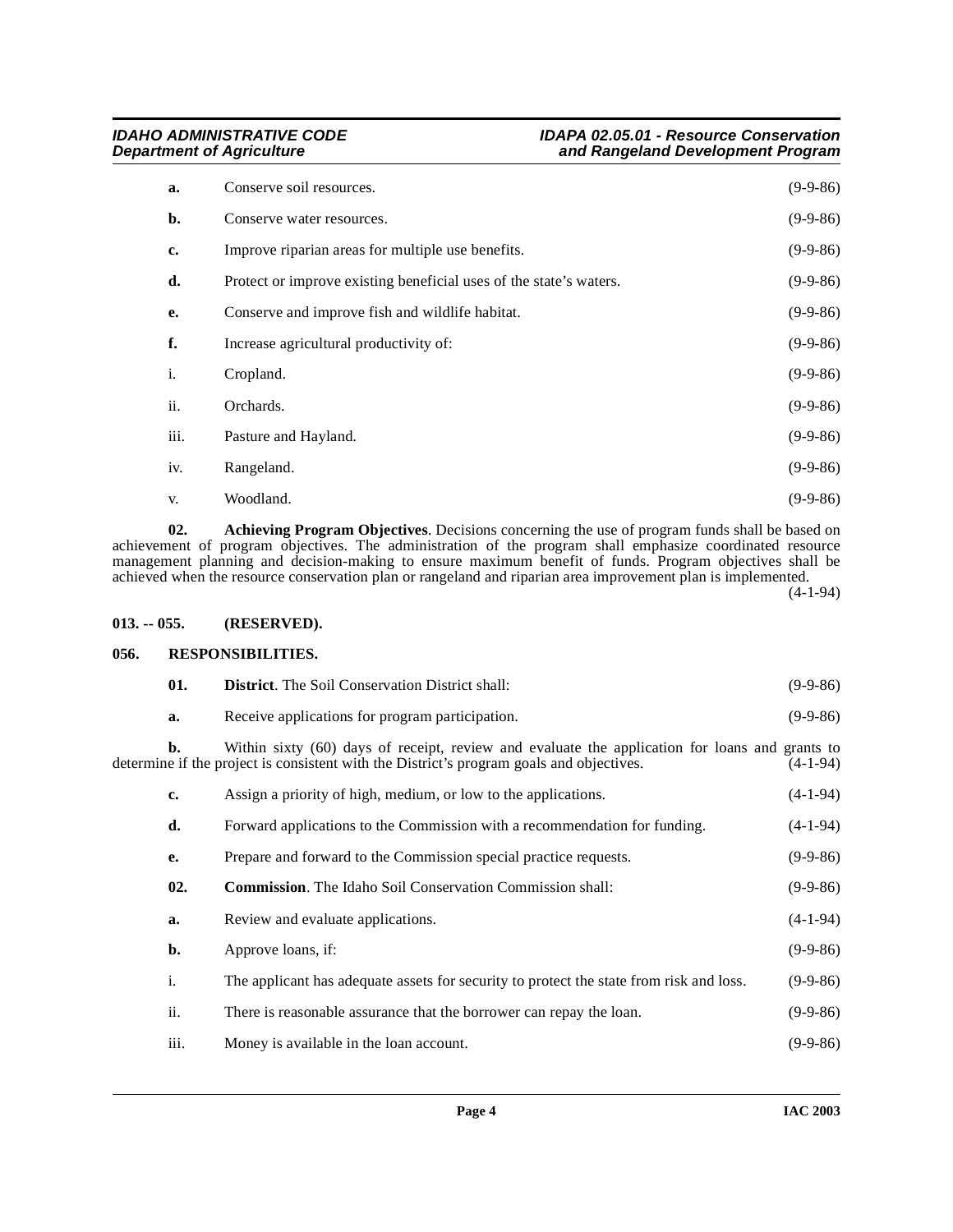| a.   | Conserve soil resources.                                           | $(9-9-86)$ |
|------|--------------------------------------------------------------------|------------|
| b.   | Conserve water resources.                                          | $(9-9-86)$ |
| c.   | Improve riparian areas for multiple use benefits.                  | $(9-9-86)$ |
| d.   | Protect or improve existing beneficial uses of the state's waters. | $(9-9-86)$ |
| e.   | Conserve and improve fish and wildlife habitat.                    | $(9-9-86)$ |
| f.   | Increase agricultural productivity of:                             | $(9-9-86)$ |
| i.   | Cropland.                                                          | $(9-9-86)$ |
| ii.  | Orchards.                                                          | $(9-9-86)$ |
| iii. | Pasture and Hayland.                                               | $(9-9-86)$ |
| iv.  | Rangeland.                                                         | $(9-9-86)$ |
| V.   | Woodland.                                                          | $(9-9-86)$ |

<span id="page-3-2"></span>**02. Achieving Program Objectives**. Decisions concerning the use of program funds shall be based on achievement of program objectives. The administration of the program shall emphasize coordinated resource management planning and decision-making to ensure maximum benefit of funds. Program objectives shall be achieved when the resource conservation plan or rangeland and riparian area improvement plan is implemented.

(4-1-94)

#### <span id="page-3-0"></span>**013. -- 055. (RESERVED).**

### <span id="page-3-5"></span><span id="page-3-1"></span>**056. RESPONSIBILITIES.**

<span id="page-3-4"></span><span id="page-3-3"></span>

| 01.  | <b>District.</b> The Soil Conservation District shall:                                                                                                                                     | $(9-9-86)$ |
|------|--------------------------------------------------------------------------------------------------------------------------------------------------------------------------------------------|------------|
| a.   | Receive applications for program participation.                                                                                                                                            | $(9-9-86)$ |
| b.   | Within sixty (60) days of receipt, review and evaluate the application for loans and grants to<br>determine if the project is consistent with the District's program goals and objectives. | $(4-1-94)$ |
| c.   | Assign a priority of high, medium, or low to the applications.                                                                                                                             | $(4-1-94)$ |
| d.   | Forward applications to the Commission with a recommendation for funding.                                                                                                                  | $(4-1-94)$ |
| е.   | Prepare and forward to the Commission special practice requests.                                                                                                                           | $(9-9-86)$ |
| 02.  | <b>Commission.</b> The Idaho Soil Conservation Commission shall:                                                                                                                           | $(9-9-86)$ |
| a.   | Review and evaluate applications.                                                                                                                                                          | $(4-1-94)$ |
| b.   | Approve loans, if:                                                                                                                                                                         | $(9-9-86)$ |
| i.   | The applicant has adequate assets for security to protect the state from risk and loss.                                                                                                    | $(9-9-86)$ |
| ii.  | There is reasonable assurance that the borrower can repay the loan.                                                                                                                        | $(9-9-86)$ |
| iii. | Money is available in the loan account.                                                                                                                                                    | $(9-9-86)$ |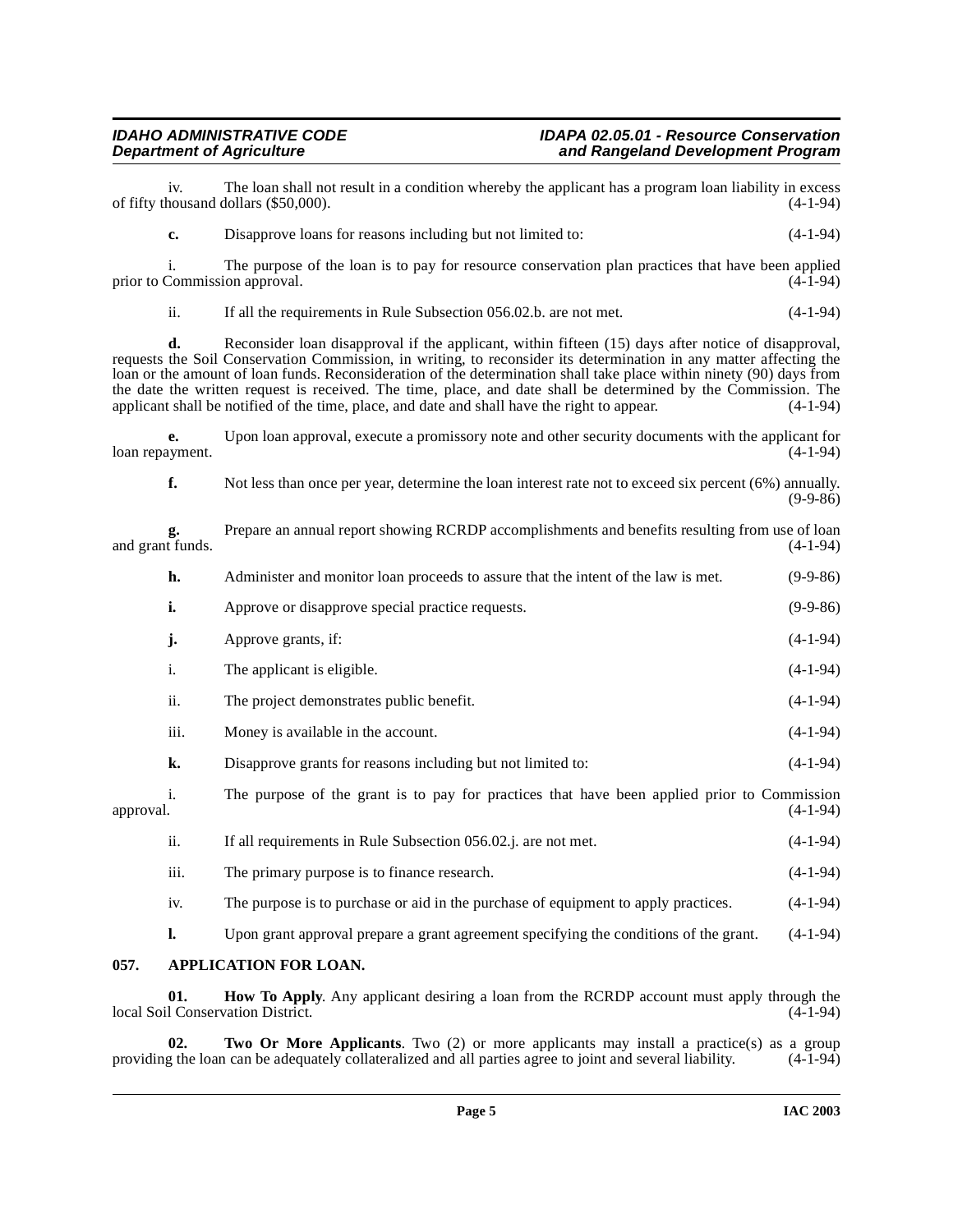#### **IDAHO ADMINISTRATIVE CODE IDAPA 02.05.01 - Resource Conservation** and Rangeland Development Program

iv. The loan shall not result in a condition whereby the applicant has a program loan liability in excess housand dollars (\$50,000). (4-1-94) of fifty thousand dollars  $(\$50,000)$ .

**c.** Disapprove loans for reasons including but not limited to:  $(4-1-94)$ 

i. The purpose of the loan is to pay for resource conservation plan practices that have been applied prior to Commission approval.

ii. If all the requirements in Rule Subsection 056.02.b. are not met. (4-1-94)

**d.** Reconsider loan disapproval if the applicant, within fifteen (15) days after notice of disapproval, requests the Soil Conservation Commission, in writing, to reconsider its determination in any matter affecting the loan or the amount of loan funds. Reconsideration of the determination shall take place within ninety (90) days from the date the written request is received. The time, place, and date shall be determined by the Commission. The applicant shall be notified of the time, place, and date and shall have the right to appear. (4-1-94)

**e.** Upon loan approval, execute a promissory note and other security documents with the applicant for (4-1-94) loan repayment.

**f.** Not less than once per year, determine the loan interest rate not to exceed six percent (6%) annually.  $(9-9-86)$ 

**g.** Prepare an annual report showing RCRDP accomplishments and benefits resulting from use of loan t funds. (4-1-94) and grant funds.

| Administer and monitor loan proceeds to assure that the intent of the law is met. | $(9-9-86)$ |
|-----------------------------------------------------------------------------------|------------|
| Approve or disapprove special practice requests.                                  | $(9-9-86)$ |

- **j.** Approve grants, if: (4-1-94)
- i. The applicant is eligible. (4-1-94)
- ii. The project demonstrates public benefit. (4-1-94)
- iii. Money is available in the account. (4-1-94)
- **k.** Disapprove grants for reasons including but not limited to:  $(4-1-94)$
- i. The purpose of the grant is to pay for practices that have been applied prior to Commission approval. (4-1-94) approval. (4-1-94)
	- ii. If all requirements in Rule Subsection 056.02.j. are not met. (4-1-94) iii. The primary purpose is to finance research. (4-1-94) iv. The purpose is to purchase or aid in the purchase of equipment to apply practices. (4-1-94) **l.** Upon grant approval prepare a grant agreement specifying the conditions of the grant.  $(4-1-94)$

#### <span id="page-4-1"></span><span id="page-4-0"></span>**057. APPLICATION FOR LOAN.**

<span id="page-4-2"></span>**01. How To Apply**. Any applicant desiring a loan from the RCRDP account must apply through the local Soil Conservation District. (4-1-94)

<span id="page-4-3"></span>**02. Two Or More Applicants**. Two (2) or more applicants may install a practice(s) as a group g the loan can be adequately collateralized and all parties agree to joint and several liability. (4-1-94) providing the loan can be adequately collateralized and all parties agree to joint and several liability.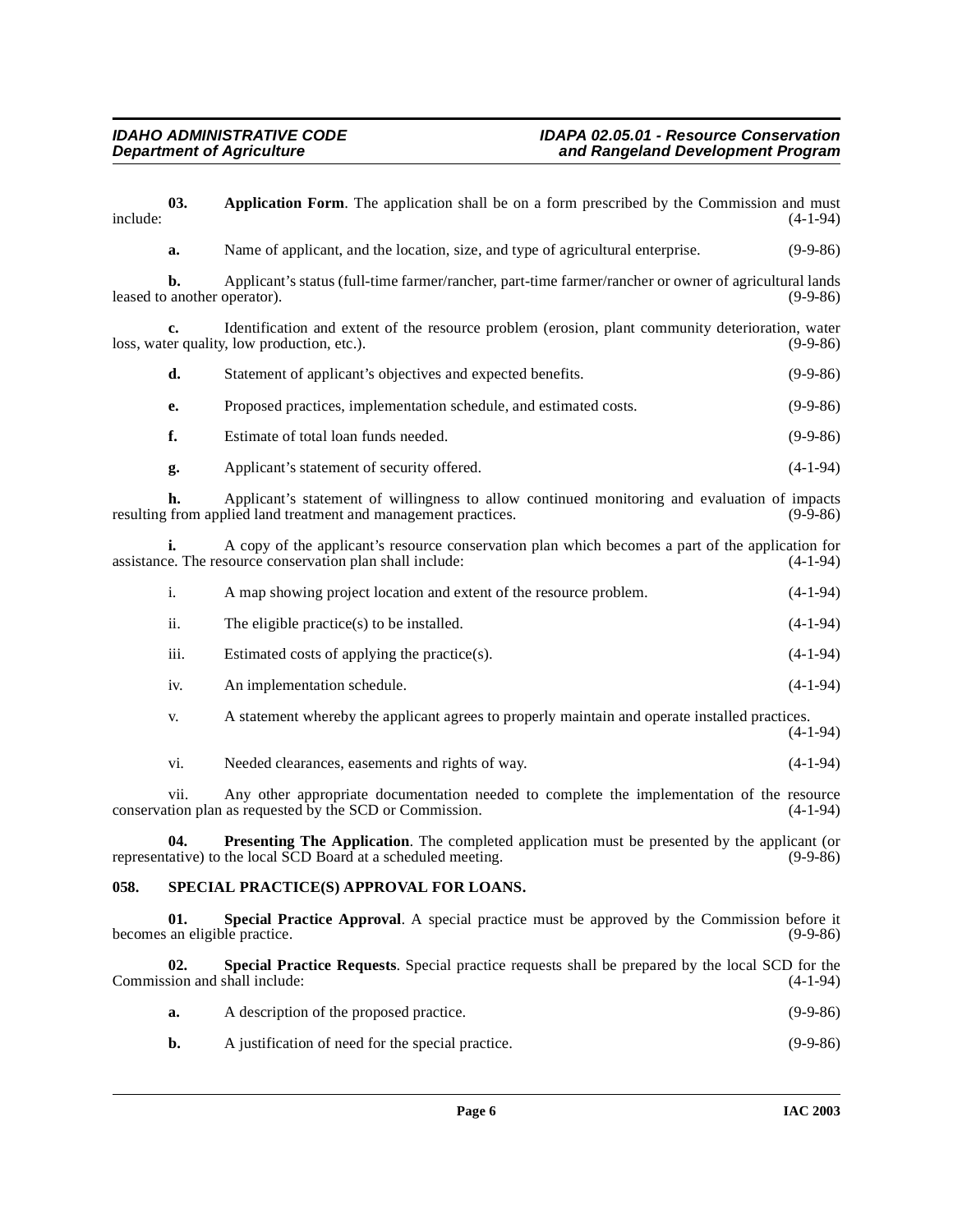<span id="page-5-1"></span>

| include: | 03.  | Application Form. The application shall be on a form prescribed by the Commission and must                                                                             | $(4-1-94)$ |
|----------|------|------------------------------------------------------------------------------------------------------------------------------------------------------------------------|------------|
|          | a.   | Name of applicant, and the location, size, and type of agricultural enterprise.                                                                                        | $(9-9-86)$ |
|          | b.   | Applicant's status (full-time farmer/rancher, part-time farmer/rancher or owner of agricultural lands<br>leased to another operator).                                  | $(9-9-86)$ |
|          | c.   | Identification and extent of the resource problem (erosion, plant community deterioration, water<br>loss, water quality, low production, etc.).                        | $(9-9-86)$ |
|          | d.   | Statement of applicant's objectives and expected benefits.                                                                                                             | $(9-9-86)$ |
|          | e.   | Proposed practices, implementation schedule, and estimated costs.                                                                                                      | $(9-9-86)$ |
|          | f.   | Estimate of total loan funds needed.                                                                                                                                   | $(9-9-86)$ |
|          | g.   | Applicant's statement of security offered.                                                                                                                             | $(4-1-94)$ |
|          | h.   | Applicant's statement of willingness to allow continued monitoring and evaluation of impacts<br>resulting from applied land treatment and management practices.        | $(9-9-86)$ |
|          | i.   | A copy of the applicant's resource conservation plan which becomes a part of the application for<br>assistance. The resource conservation plan shall include:          | $(4-1-94)$ |
|          | i.   | A map showing project location and extent of the resource problem.                                                                                                     | $(4-1-94)$ |
|          | ii.  | The eligible practice $(s)$ to be installed.                                                                                                                           | $(4-1-94)$ |
|          | iii. | Estimated costs of applying the practice(s).                                                                                                                           | $(4-1-94)$ |
|          | iv.  | An implementation schedule.                                                                                                                                            | $(4-1-94)$ |
|          | V.   | A statement whereby the applicant agrees to properly maintain and operate installed practices.                                                                         | $(4-1-94)$ |
|          | vi.  | Needed clearances, easements and rights of way.                                                                                                                        | $(4-1-94)$ |
|          | vii. | Any other appropriate documentation needed to complete the implementation of the resource<br>conservation plan as requested by the SCD or Commission.                  | $(4-1-94)$ |
|          | 04.  | <b>Presenting The Application</b> . The completed application must be presented by the applicant (or<br>representative) to the local SCD Board at a scheduled meeting. | $(9-9-86)$ |
| 058.     |      | SPECIAL PRACTICE(S) APPROVAL FOR LOANS.                                                                                                                                |            |
|          | 01.  | Special Practice Approval. A special practice must be approved by the Commission before it<br>becomes an eligible practice.                                            | $(9-9-86)$ |
|          | 02.  | Special Practice Requests. Special practice requests shall be prepared by the local SCD for the<br>Commission and shall include:                                       | $(4-1-94)$ |
|          | a.   | A description of the proposed practice.                                                                                                                                | $(9-9-86)$ |

<span id="page-5-3"></span><span id="page-5-2"></span><span id="page-5-0"></span>**b.** A justification of need for the special practice. (9-9-86)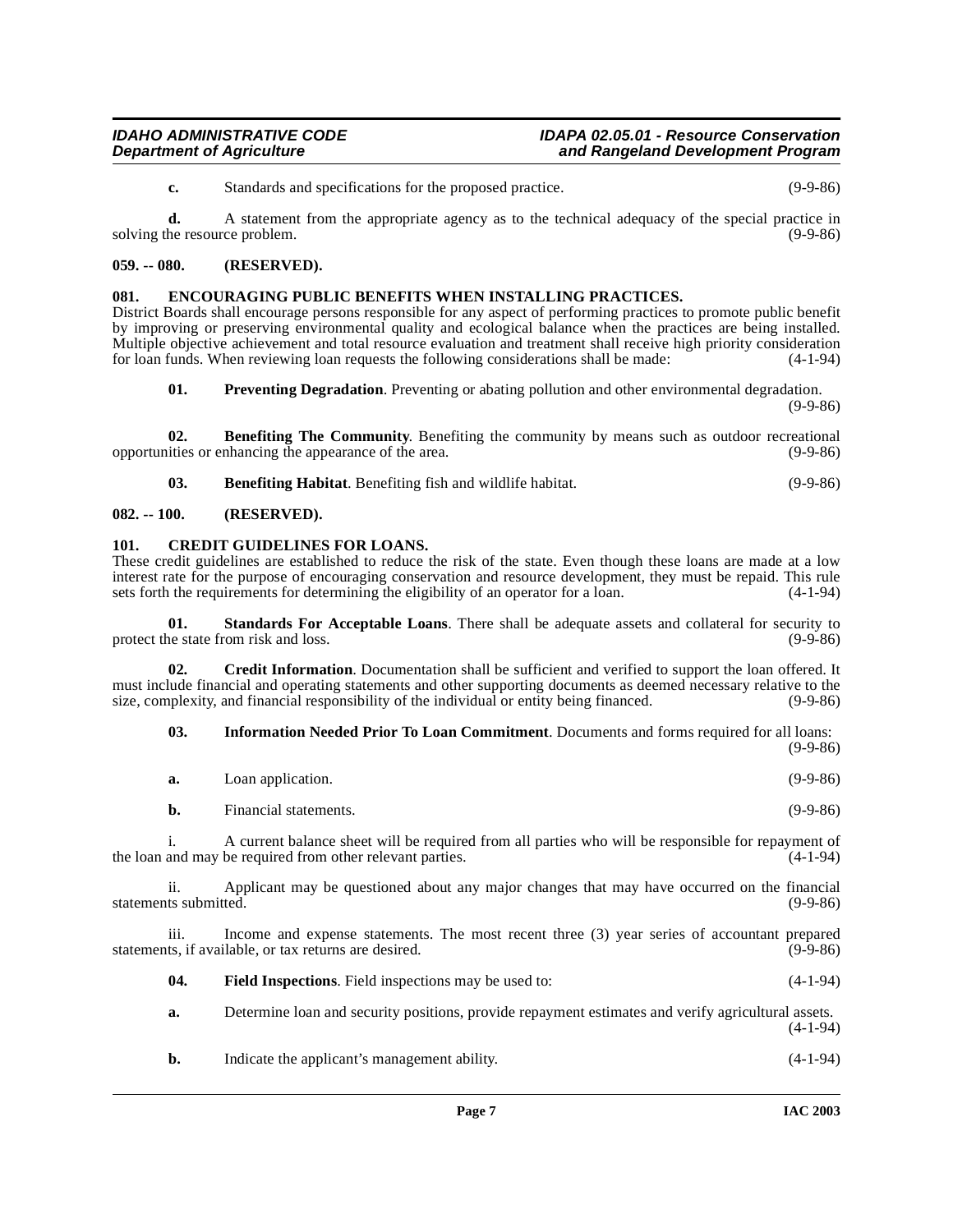#### **IDAHO ADMINISTRATIVE CODE IDAPA 02.05.01 - Resource Conservation** and Rangeland Development Program

**c.** Standards and specifications for the proposed practice. (9-9-86)

**d.** A statement from the appropriate agency as to the technical adequacy of the special practice in solving the resource problem. (9-9-86)

#### <span id="page-6-0"></span>**059. -- 080. (RESERVED).**

#### <span id="page-6-7"></span><span id="page-6-1"></span>**081. ENCOURAGING PUBLIC BENEFITS WHEN INSTALLING PRACTICES.**

District Boards shall encourage persons responsible for any aspect of performing practices to promote public benefit by improving or preserving environmental quality and ecological balance when the practices are being installed. Multiple objective achievement and total resource evaluation and treatment shall receive high priority consideration for loan funds. When reviewing loan requests the following considerations shall be made:  $(4-1-94)$ for loan funds. When reviewing loan requests the following considerations shall be made:

<span id="page-6-9"></span><span id="page-6-5"></span>**01.** Preventing Degradation. Preventing or abating pollution and other environmental degradation.  $(9-9-86)$ 

**02. Benefiting The Community**. Benefiting the community by means such as outdoor recreational ities or enhancing the appearance of the area. (9-9-86) opportunities or enhancing the appearance of the area.

<span id="page-6-6"></span><span id="page-6-4"></span>**03. Benefiting Habitat**. Benefiting fish and wildlife habitat. (9-9-86)

#### <span id="page-6-2"></span>**082. -- 100. (RESERVED).**

#### <span id="page-6-3"></span>**101. CREDIT GUIDELINES FOR LOANS.**

These credit guidelines are established to reduce the risk of the state. Even though these loans are made at a low interest rate for the purpose of encouraging conservation and resource development, they must be repaid. This rule sets forth the requirements for determining the eligibility of an operator for a loan. (4-1-94) sets forth the requirements for determining the eligibility of an operator for a loan.

<span id="page-6-10"></span>**01. Standards For Acceptable Loans**. There shall be adequate assets and collateral for security to protect the state from risk and loss. (9-9-86)

**02. Credit Information**. Documentation shall be sufficient and verified to support the loan offered. It must include financial and operating statements and other supporting documents as deemed necessary relative to the size, complexity, and financial responsibility of the individual or entity being financed. (9-9-86)

<span id="page-6-8"></span>**03. Information Needed Prior To Loan Commitment**. Documents and forms required for all loans: (9-9-86)

| a.                           | Loan application.                                                                                                                                               | $(9-9-86)$ |
|------------------------------|-----------------------------------------------------------------------------------------------------------------------------------------------------------------|------------|
| b.                           | Financial statements.                                                                                                                                           | $(9-9-86)$ |
|                              | A current balance sheet will be required from all parties who will be responsible for repayment of<br>the loan and may be required from other relevant parties. | $(4-1-94)$ |
| 11.<br>statements submitted. | Applicant may be questioned about any major changes that may have occurred on the financial                                                                     | $(9-9-86)$ |
| 111.                         | Income and expense statements. The most recent three (3) year series of accountant prepared<br>statements, if available, or tax returns are desired.            | $(9-9-86)$ |
| 04.                          | <b>Field Inspections.</b> Field inspections may be used to:                                                                                                     | $(4-1-94)$ |
| a.                           | Determine loan and security positions, provide repayment estimates and verify agricultural assets.                                                              | $(4-1-94)$ |

**b.** Indicate the applicant's management ability. (4-1-94)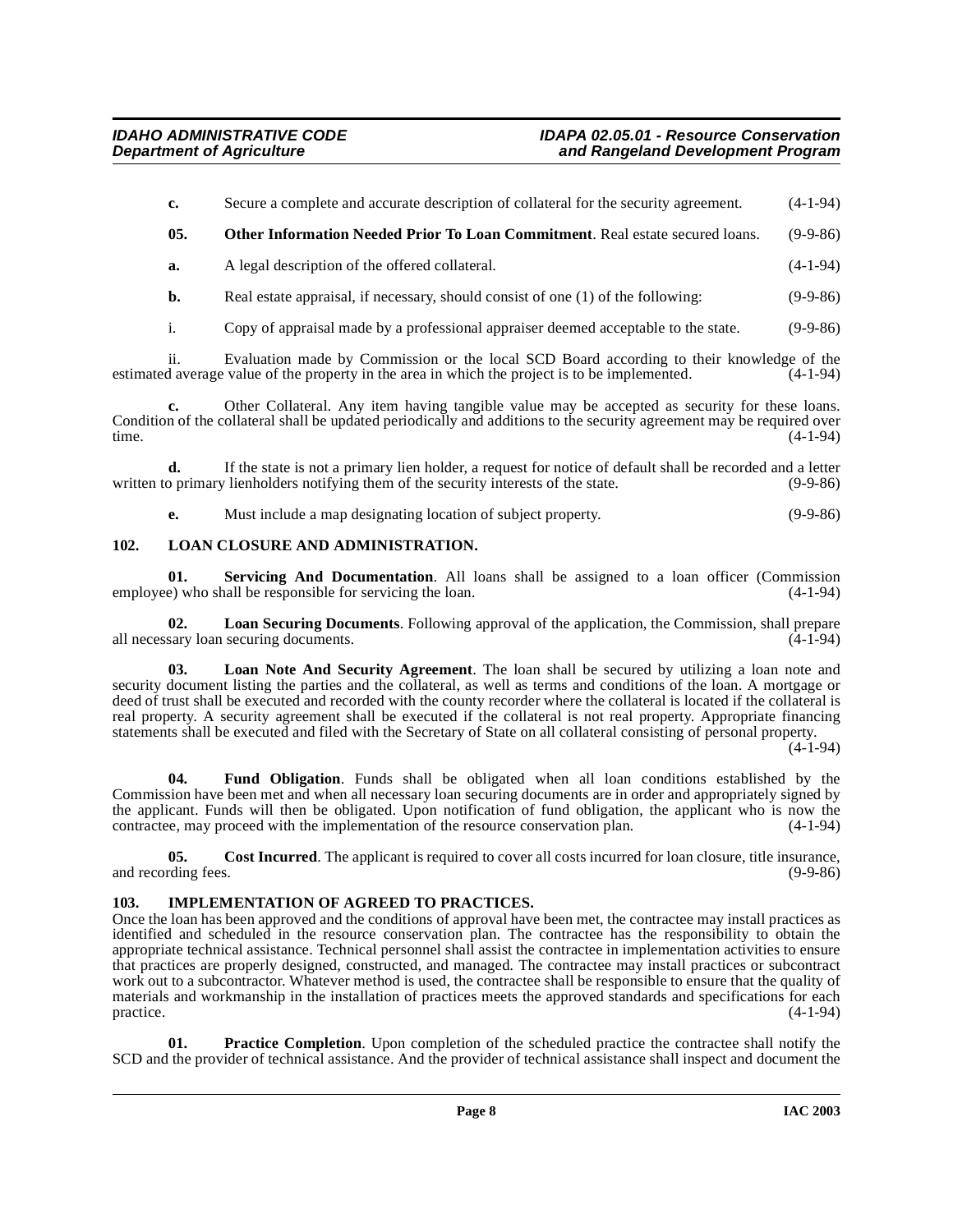|  |  |  |  | Secure a complete and accurate description of collateral for the security agreement. | $(4-1-94)$ |
|--|--|--|--|--------------------------------------------------------------------------------------|------------|
|--|--|--|--|--------------------------------------------------------------------------------------|------------|

<span id="page-7-6"></span>

| 05. | <b>Other Information Needed Prior To Loan Commitment. Real estate secured loans.</b> | $(9-9-86)$ |
|-----|--------------------------------------------------------------------------------------|------------|
|-----|--------------------------------------------------------------------------------------|------------|

- **a.** A legal description of the offered collateral. (4-1-94)
- **b.** Real estate appraisal, if necessary, should consist of one (1) of the following: (9-9-86)

i. Copy of appraisal made by a professional appraiser deemed acceptable to the state. (9-9-86)

ii. Evaluation made by Commission or the local SCD Board according to their knowledge of the estimated average value of the property in the area in which the project is to be implemented.

**c.** Other Collateral. Any item having tangible value may be accepted as security for these loans. Condition of the collateral shall be updated periodically and additions to the security agreement may be required over time. time.  $(4-1-94)$ 

**d.** If the state is not a primary lien holder, a request for notice of default shall be recorded and a letter written to primary lienholders notifying them of the security interests of the state. (9-9-86)

<span id="page-7-3"></span>**e.** Must include a map designating location of subject property. (9-9-86)

#### <span id="page-7-0"></span>**102. LOAN CLOSURE AND ADMINISTRATION.**

**01. Servicing And Documentation**. All loans shall be assigned to a loan officer (Commission e) who shall be responsible for servicing the loan. (4-1-94) employee) who shall be responsible for servicing the loan.

<span id="page-7-5"></span>**02. Loan Securing Documents**. Following approval of the application, the Commission, shall prepare all necessary loan securing documents. (4-1-94)

<span id="page-7-4"></span>**03. Loan Note And Security Agreement**. The loan shall be secured by utilizing a loan note and security document listing the parties and the collateral, as well as terms and conditions of the loan. A mortgage or deed of trust shall be executed and recorded with the county recorder where the collateral is located if the collateral is real property. A security agreement shall be executed if the collateral is not real property. Appropriate financing statements shall be executed and filed with the Secretary of State on all collateral consisting of personal property.

 $(4-1-94)$ 

**04. Fund Obligation**. Funds shall be obligated when all loan conditions established by the Commission have been met and when all necessary loan securing documents are in order and appropriately signed by the applicant. Funds will then be obligated. Upon notification of fund obligation, the applicant who is now the contractee, may proceed with the implementation of the resource conservation plan. (4-1-94)

**05.** Cost Incurred. The applicant is required to cover all costs incurred for loan closure, title insurance, and recording fees. The contract of the contract of the contract of the contract of the contract of the contract of the contract of the contract of the contract of the contract of the contract of the contract of the contra

#### <span id="page-7-2"></span><span id="page-7-1"></span>**103. IMPLEMENTATION OF AGREED TO PRACTICES.**

Once the loan has been approved and the conditions of approval have been met, the contractee may install practices as identified and scheduled in the resource conservation plan. The contractee has the responsibility to obtain the appropriate technical assistance. Technical personnel shall assist the contractee in implementation activities to ensure that practices are properly designed, constructed, and managed. The contractee may install practices or subcontract work out to a subcontractor. Whatever method is used, the contractee shall be responsible to ensure that the quality of materials and workmanship in the installation of practices meets the approved standards and specifications for each  $practive.$  (4-1-94)

<span id="page-7-7"></span>**01. Practice Completion**. Upon completion of the scheduled practice the contractee shall notify the SCD and the provider of technical assistance. And the provider of technical assistance shall inspect and document the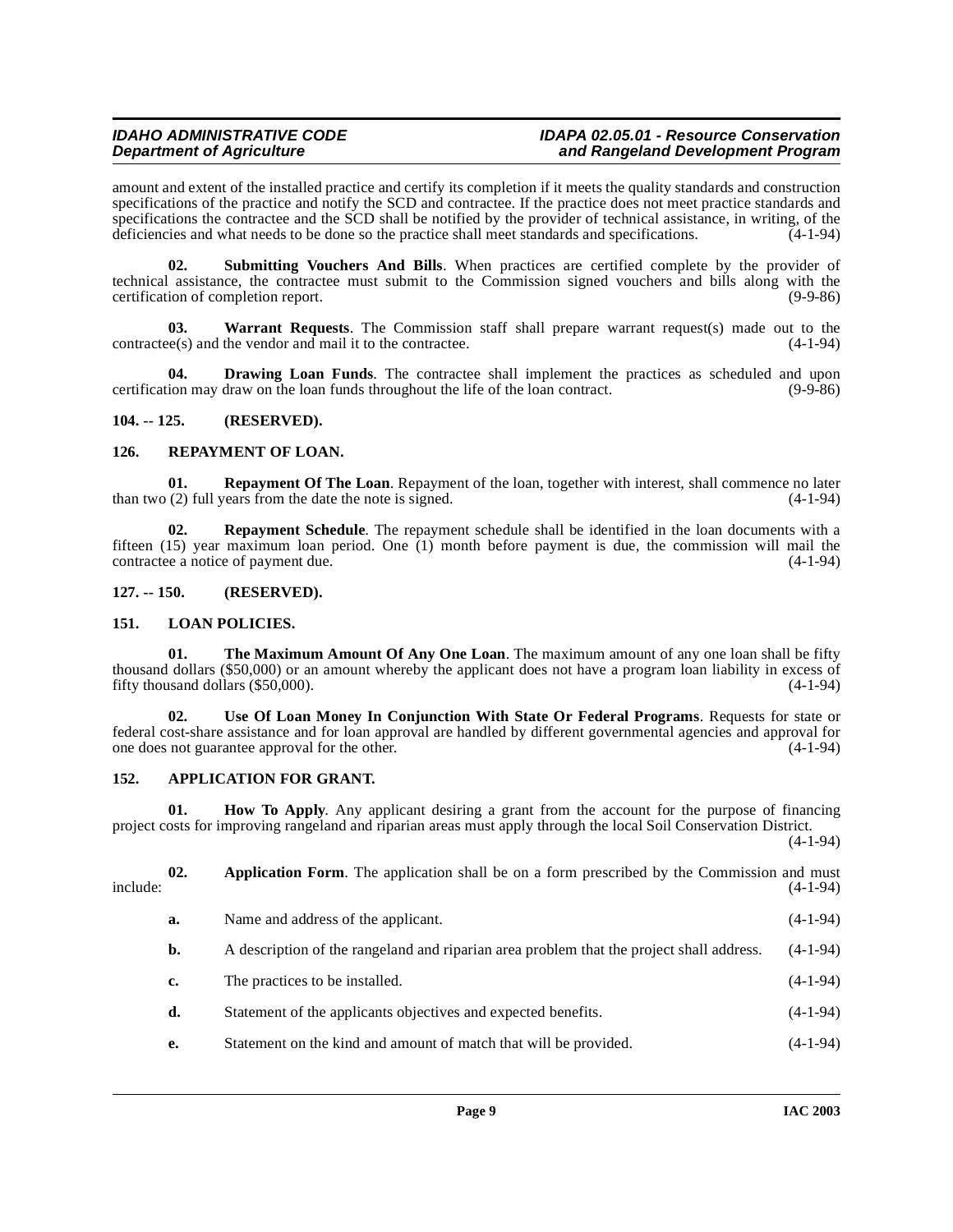#### **IDAHO ADMINISTRATIVE CODE IDAPA 02.05.01 - Resource Conservation** and Rangeland Development Program

amount and extent of the installed practice and certify its completion if it meets the quality standards and construction specifications of the practice and notify the SCD and contractee. If the practice does not meet practice standards and specifications the contractee and the SCD shall be notified by the provider of technical assistance, in writing, of the deficiencies and what needs to be done so the practice shall meet standards and specifications. (4-1-94)

**02. Submitting Vouchers And Bills**. When practices are certified complete by the provider of technical assistance, the contractee must submit to the Commission signed vouchers and bills along with the certification of completion report. (9-9-86) certification of completion report.

**03. Warrant Requests**. The Commission staff shall prepare warrant request(s) made out to the contractee(s) and the vendor and mail it to the contractee. (4-1-94)

**04. Drawing Loan Funds**. The contractee shall implement the practices as scheduled and upon certification may draw on the loan funds throughout the life of the loan contract. (9-9-86)

#### <span id="page-8-0"></span>**104. -- 125. (RESERVED).**

#### <span id="page-8-8"></span><span id="page-8-1"></span>**126. REPAYMENT OF LOAN.**

**01. Repayment Of The Loan**. Repayment of the loan, together with interest, shall commence no later (2) full vears from the date the note is signed. (4-1-94) than two  $(2)$  full years from the date the note is signed.

**02. Repayment Schedule**. The repayment schedule shall be identified in the loan documents with a fifteen (15) year maximum loan period. One  $(1)$  month before payment is due, the commission will mail the contractee a notice of payment due. (4-1-94)

#### <span id="page-8-2"></span>**127. -- 150. (RESERVED).**

#### <span id="page-8-7"></span><span id="page-8-3"></span>**151. LOAN POLICIES.**

<span id="page-8-9"></span>**The Maximum Amount Of Any One Loan**. The maximum amount of any one loan shall be fifty thousand dollars (\$50,000) or an amount whereby the applicant does not have a program loan liability in excess of fifty thousand dollars (\$50,000). (4-1-94) fifty thousand dollars  $(\$50,000)$ .

<span id="page-8-10"></span>**02. Use Of Loan Money In Conjunction With State Or Federal Programs**. Requests for state or federal cost-share assistance and for loan approval are handled by different governmental agencies and approval for one does not guarantee approval for the other. (4-1-94)

#### <span id="page-8-5"></span><span id="page-8-4"></span>**152. APPLICATION FOR GRANT.**

**01. How To Apply**. Any applicant desiring a grant from the account for the purpose of financing project costs for improving rangeland and riparian areas must apply through the local Soil Conservation District. (4-1-94)

<span id="page-8-6"></span>

| include: | 02. | <b>Application Form.</b> The application shall be on a form prescribed by the Commission and must | $(4-1-94)$ |
|----------|-----|---------------------------------------------------------------------------------------------------|------------|
|          | a.  | Name and address of the applicant.                                                                | $(4-1-94)$ |
|          | b.  | A description of the rangeland and riparian area problem that the project shall address.          | $(4-1-94)$ |
|          | c.  | The practices to be installed.                                                                    | $(4-1-94)$ |
|          | d.  | Statement of the applicants objectives and expected benefits.                                     | $(4-1-94)$ |
|          | е.  | Statement on the kind and amount of match that will be provided.                                  | $(4-1-94)$ |
|          |     |                                                                                                   |            |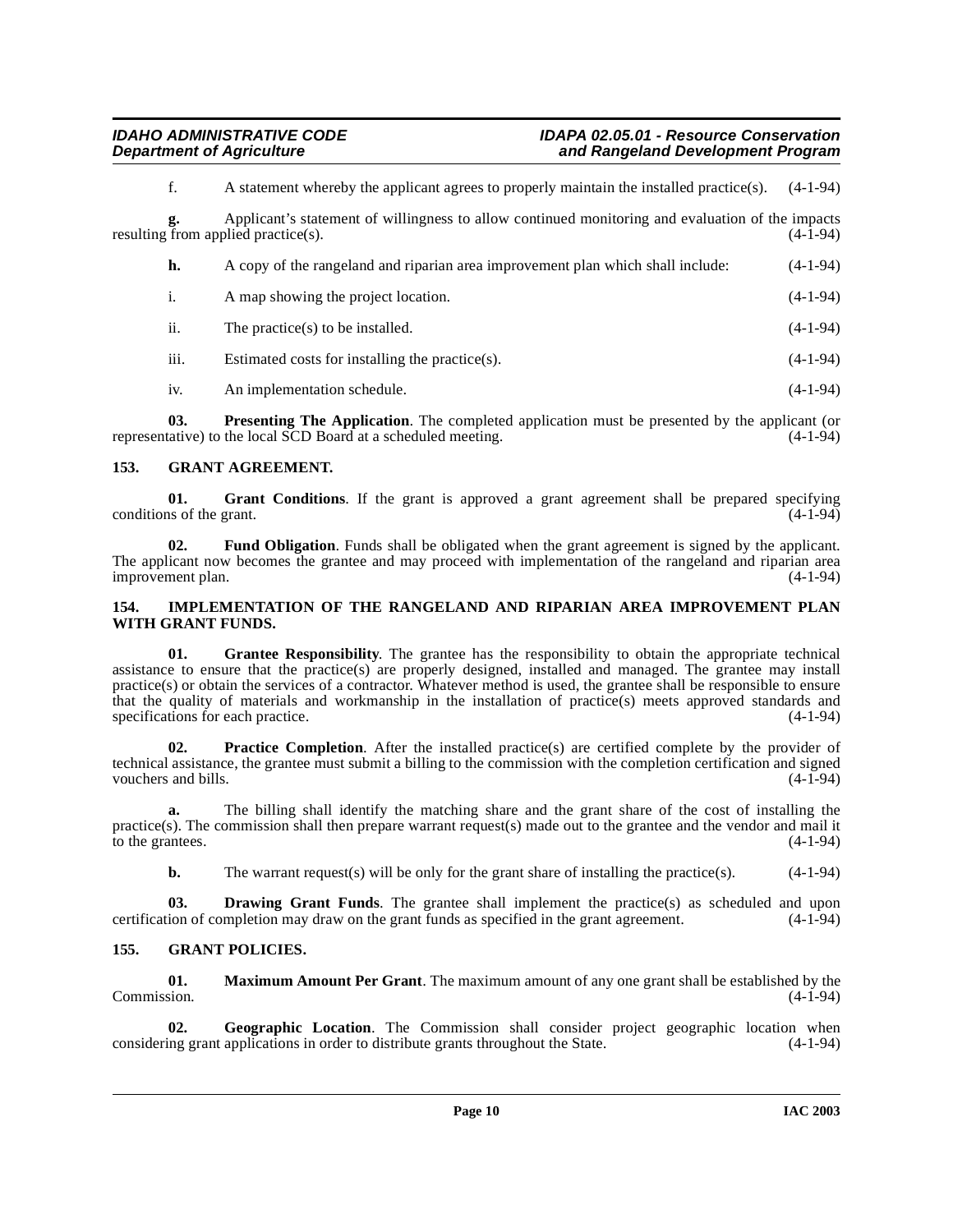f. A statement whereby the applicant agrees to properly maintain the installed practice(s). (4-1-94)

**g.** Applicant's statement of willingness to allow continued monitoring and evaluation of the impacts resulting from applied practice(s). The contraction of the contraction of the contraction of the contraction of the contraction of the contraction of the contraction of the contraction of the contraction of the contraction

| <b>h.</b> | A copy of the rangeland and riparian area improvement plan which shall include: | $(4-1-94)$ |
|-----------|---------------------------------------------------------------------------------|------------|
| i.        | A map showing the project location.                                             | $(4-1-94)$ |
| ii.       | The practice(s) to be installed.                                                | $(4-1-94)$ |

iii. Estimated costs for installing the practice(s). (4-1-94)

<span id="page-9-7"></span>iv. An implementation schedule. (4-1-94)

**03. Presenting The Application**. The completed application must be presented by the applicant (or tative) to the local SCD Board at a scheduled meeting. (4-1-94) representative) to the local SCD Board at a scheduled meeting.

#### <span id="page-9-3"></span><span id="page-9-0"></span>**153. GRANT AGREEMENT.**

**01.** Grant Conditions. If the grant is approved a grant agreement shall be prepared specifying is of the grant. (4-1-94) conditions of the grant.

**02. Fund Obligation**. Funds shall be obligated when the grant agreement is signed by the applicant. The applicant now becomes the grantee and may proceed with implementation of the rangeland and riparian area improvement plan. (4-1-94)

#### <span id="page-9-6"></span><span id="page-9-1"></span>**154. IMPLEMENTATION OF THE RANGELAND AND RIPARIAN AREA IMPROVEMENT PLAN WITH GRANT FUNDS.**

<span id="page-9-5"></span>**01. Grantee Responsibility**. The grantee has the responsibility to obtain the appropriate technical assistance to ensure that the practice(s) are properly designed, installed and managed. The grantee may install practice(s) or obtain the services of a contractor. Whatever method is used, the grantee shall be responsible to ensure that the quality of materials and workmanship in the installation of practice(s) meets approved standards and specifications for each practice.

**02. Practice Completion**. After the installed practice(s) are certified complete by the provider of technical assistance, the grantee must submit a billing to the commission with the completion certification and signed vouchers and bills.

**a.** The billing shall identify the matching share and the grant share of the cost of installing the practice(s). The commission shall then prepare warrant request(s) made out to the grantee and the vendor and mail it to the grantees.  $(4-1-94)$ 

**b.** The warrant request(s) will be only for the grant share of installing the practice(s). (4-1-94)

**03. Drawing Grant Funds**. The grantee shall implement the practice(s) as scheduled and upon certification of completion may draw on the grant funds as specified in the grant agreement. (4-1-94)

### <span id="page-9-4"></span><span id="page-9-2"></span>**155. GRANT POLICIES.**

**01. Maximum Amount Per Grant**. The maximum amount of any one grant shall be established by the Commission. (4-1-94)

**02. Geographic Location**. The Commission shall consider project geographic location when ing grant applications in order to distribute grants throughout the State. (4-1-94) considering grant applications in order to distribute grants throughout the State.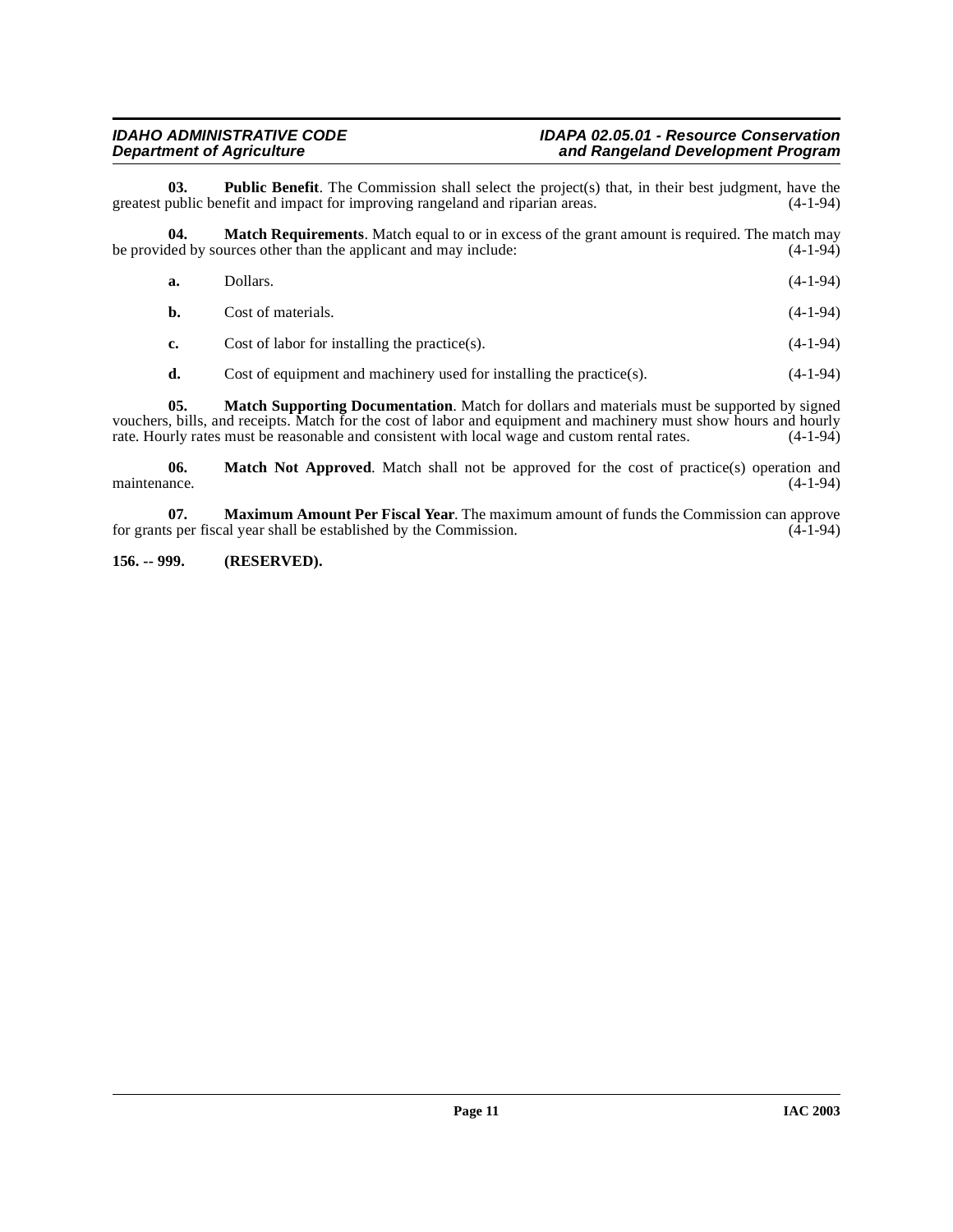**03. Public Benefit**. The Commission shall select the project(s) that, in their best judgment, have the public benefit and impact for improving rangeland and riparian areas. (4-1-94) greatest public benefit and impact for improving rangeland and riparian areas.

**04. Match Requirements**. Match equal to or in excess of the grant amount is required. The match may ded by sources other than the applicant and may include: (4-1-94) be provided by sources other than the applicant and may include:

| а. | Dollars.                                      | $(4-1-94)$ |
|----|-----------------------------------------------|------------|
| b. | Cost of materials.                            | $(4-1-94)$ |
| c. | Cost of labor for installing the practice(s). | $(4-1-94)$ |

**d.** Cost of equipment and machinery used for installing the practice(s).  $(4-1-94)$ 

**05. Match Supporting Documentation**. Match for dollars and materials must be supported by signed vouchers, bills, and receipts. Match for the cost of labor and equipment and machinery must show hours and hourly rate. Hourly rates must be reasonable and consistent with local wage and custom rental rates. (4-1-94) rate. Hourly rates must be reasonable and consistent with local wage and custom rental rates.

**06. Match Not Approved**. Match shall not be approved for the cost of practice(s) operation and (4-1-94) maintenance. (4-1-94)

**07.** Maximum Amount Per Fiscal Year. The maximum amount of funds the Commission can approve s per fiscal year shall be established by the Commission. (4-1-94) for grants per fiscal year shall be established by the Commission.

#### <span id="page-10-0"></span>**156. -- 999. (RESERVED).**